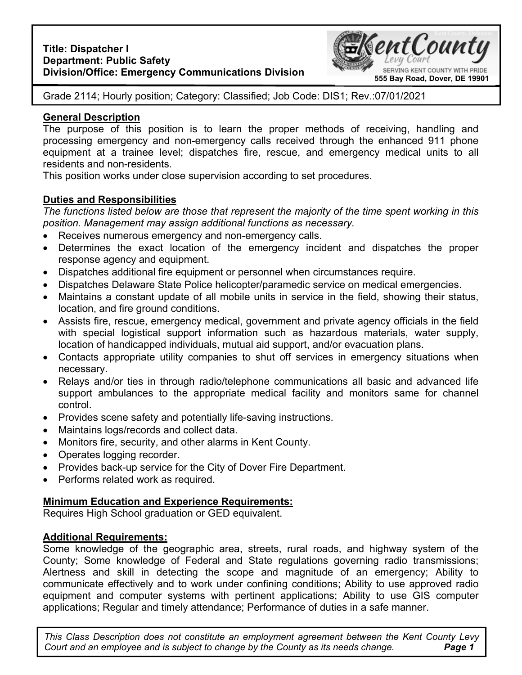

Grade 2114; Hourly position; Category: Classified; Job Code: DIS1; Rev.:07/01/2021

## **General Description**

The purpose of this position is to learn the proper methods of receiving, handling and processing emergency and non-emergency calls received through the enhanced 911 phone equipment at a trainee level; dispatches fire, rescue, and emergency medical units to all residents and non-residents.

This position works under close supervision according to set procedures.

# **Duties and Responsibilities**

*The functions listed below are those that represent the majority of the time spent working in this position. Management may assign additional functions as necessary.* 

- Receives numerous emergency and non-emergency calls.
- Determines the exact location of the emergency incident and dispatches the proper response agency and equipment.
- Dispatches additional fire equipment or personnel when circumstances require.
- Dispatches Delaware State Police helicopter/paramedic service on medical emergencies.
- Maintains a constant update of all mobile units in service in the field, showing their status, location, and fire ground conditions.
- Assists fire, rescue, emergency medical, government and private agency officials in the field with special logistical support information such as hazardous materials, water supply, location of handicapped individuals, mutual aid support, and/or evacuation plans.
- Contacts appropriate utility companies to shut off services in emergency situations when necessary.
- Relays and/or ties in through radio/telephone communications all basic and advanced life support ambulances to the appropriate medical facility and monitors same for channel control.
- Provides scene safety and potentially life-saving instructions.
- Maintains logs/records and collect data.
- Monitors fire, security, and other alarms in Kent County.
- Operates logging recorder.
- Provides back-up service for the City of Dover Fire Department.
- Performs related work as required.

## **Minimum Education and Experience Requirements:**

Requires High School graduation or GED equivalent.

## **Additional Requirements:**

Some knowledge of the geographic area, streets, rural roads, and highway system of the County; Some knowledge of Federal and State regulations governing radio transmissions; Alertness and skill in detecting the scope and magnitude of an emergency; Ability to communicate effectively and to work under confining conditions; Ability to use approved radio equipment and computer systems with pertinent applications; Ability to use GIS computer applications; Regular and timely attendance; Performance of duties in a safe manner.

**Page 1** *This Class Description does not constitute an employment agreement between the Kent County Levy Court and an employee and is subject to change by the County as its needs change.*